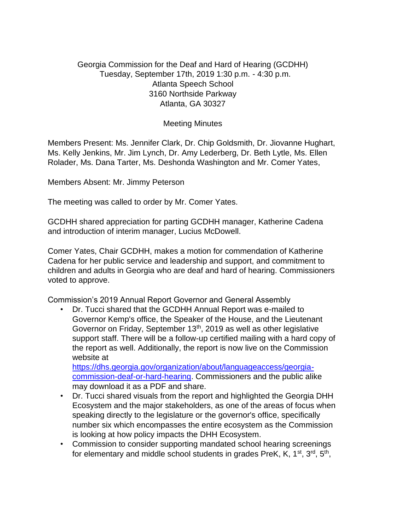## Georgia Commission for the Deaf and Hard of Hearing (GCDHH) Tuesday, September 17th, 2019 1:30 p.m. - 4:30 p.m. Atlanta Speech School 3160 Northside Parkway Atlanta, GA 30327

## Meeting Minutes

Members Present: Ms. Jennifer Clark, Dr. Chip Goldsmith, Dr. Jiovanne Hughart, Ms. Kelly Jenkins, Mr. Jim Lynch, Dr. Amy Lederberg, Dr. Beth Lytle, Ms. Ellen Rolader, Ms. Dana Tarter, Ms. Deshonda Washington and Mr. Comer Yates,

Members Absent: Mr. Jimmy Peterson

The meeting was called to order by Mr. Comer Yates.

GCDHH shared appreciation for parting GCDHH manager, Katherine Cadena and introduction of interim manager, Lucius McDowell.

Comer Yates, Chair GCDHH, makes a motion for commendation of Katherine Cadena for her public service and leadership and support, and commitment to children and adults in Georgia who are deaf and hard of hearing. Commissioners voted to approve.

Commission's 2019 Annual Report Governor and General Assembly

• Dr. Tucci shared that the GCDHH Annual Report was e-mailed to Governor Kemp's office, the Speaker of the House, and the Lieutenant Governor on Friday, September 13th, 2019 as well as other legislative support staff. There will be a follow-up certified mailing with a hard copy of the report as well. Additionally, the report is now live on the Commission website at

https://dhs.georgia.gov/organization/about/languageaccess/georgiacommission-deaf-or-hard-hearing. Commissioners and the public alike may download it as a PDF and share.

- Dr. Tucci shared visuals from the report and highlighted the Georgia DHH Ecosystem and the major stakeholders, as one of the areas of focus when speaking directly to the legislature or the governor's office, specifically number six which encompasses the entire ecosystem as the Commission is looking at how policy impacts the DHH Ecosystem.
- Commission to consider supporting mandated school hearing screenings for elementary and middle school students in grades PreK, K, 1<sup>st</sup>, 3<sup>rd</sup>, 5<sup>th</sup>,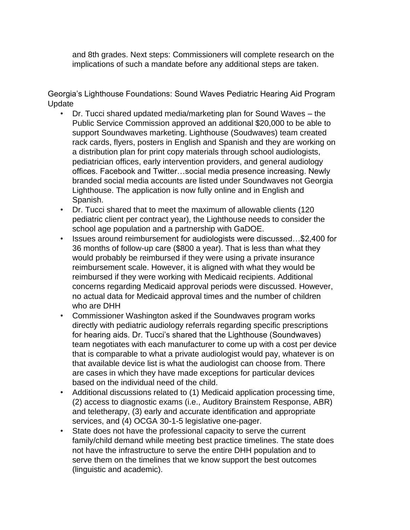and 8th grades. Next steps: Commissioners will complete research on the implications of such a mandate before any additional steps are taken.

Georgia's Lighthouse Foundations: Sound Waves Pediatric Hearing Aid Program Update

- Dr. Tucci shared updated media/marketing plan for Sound Waves the Public Service Commission approved an additional \$20,000 to be able to support Soundwaves marketing. Lighthouse (Soudwaves) team created rack cards, flyers, posters in English and Spanish and they are working on a distribution plan for print copy materials through school audiologists, pediatrician offices, early intervention providers, and general audiology offices. Facebook and Twitter…social media presence increasing. Newly branded social media accounts are listed under Soundwaves not Georgia Lighthouse. The application is now fully online and in English and Spanish.
- Dr. Tucci shared that to meet the maximum of allowable clients (120 pediatric client per contract year), the Lighthouse needs to consider the school age population and a partnership with GaDOE.
- Issues around reimbursement for audiologists were discussed…\$2,400 for 36 months of follow-up care (\$800 a year). That is less than what they would probably be reimbursed if they were using a private insurance reimbursement scale. However, it is aligned with what they would be reimbursed if they were working with Medicaid recipients. Additional concerns regarding Medicaid approval periods were discussed. However, no actual data for Medicaid approval times and the number of children who are DHH
- Commissioner Washington asked if the Soundwaves program works directly with pediatric audiology referrals regarding specific prescriptions for hearing aids. Dr. Tucci's shared that the Lighthouse (Soundwaves) team negotiates with each manufacturer to come up with a cost per device that is comparable to what a private audiologist would pay, whatever is on that available device list is what the audiologist can choose from. There are cases in which they have made exceptions for particular devices based on the individual need of the child.
- Additional discussions related to (1) Medicaid application processing time, (2) access to diagnostic exams (i.e., Auditory Brainstem Response, ABR) and teletherapy, (3) early and accurate identification and appropriate services, and (4) OCGA 30-1-5 legislative one-pager.
- State does not have the professional capacity to serve the current family/child demand while meeting best practice timelines. The state does not have the infrastructure to serve the entire DHH population and to serve them on the timelines that we know support the best outcomes (linguistic and academic).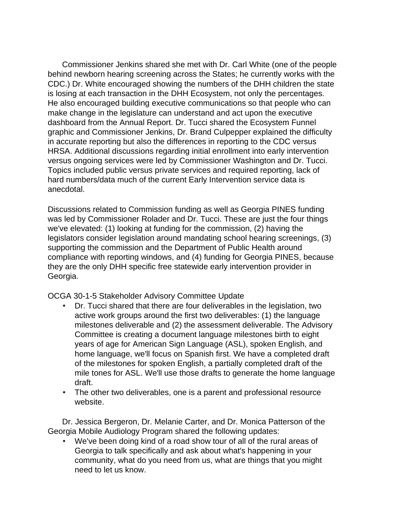Commissioner Jenkins shared she met with Dr. Carl White (one of the people behind newborn hearing screening across the States; he currently works with the CDC.) Dr. White encouraged showing the numbers of the DHH children the state is losing at each transaction in the DHH Ecosystem, not only the percentages. He also encouraged building executive communications so that people who can make change in the legislature can understand and act upon the executive dashboard from the Annual Report. Dr. Tucci shared the Ecosystem Funnel graphic and Commissioner Jenkins, Dr. Brand Culpepper explained the difficulty in accurate reporting but also the differences in reporting to the CDC versus HRSA. Additional discussions regarding initial enrollment into early intervention versus ongoing services were led by Commissioner Washington and Dr. Tucci. Topics included public versus private services and required reporting, lack of hard numbers/data much of the current Early Intervention service data is anecdotal.

Discussions related to Commission funding as well as Georgia PINES funding was led by Commissioner Rolader and Dr. Tucci. These are just the four things we've elevated: (1) looking at funding for the commission, (2) having the legislators consider legislation around mandating school hearing screenings, (3) supporting the commission and the Department of Public Health around compliance with reporting windows, and (4) funding for Georgia PINES, because they are the only DHH specific free statewide early intervention provider in Georgia.

OCGA 30-1-5 Stakeholder Advisory Committee Update

- Dr. Tucci shared that there are four deliverables in the legislation, two active work groups around the first two deliverables: (1) the language milestones deliverable and (2) the assessment deliverable. The Advisory Committee is creating a document language milestones birth to eight years of age for American Sign Language (ASL), spoken English, and home language, we'll focus on Spanish first. We have a completed draft of the milestones for spoken English, a partially completed draft of the mile tones for ASL. We'll use those drafts to generate the home language draft.
- The other two deliverables, one is a parent and professional resource website.

Dr. Jessica Bergeron, Dr. Melanie Carter, and Dr. Monica Patterson of the Georgia Mobile Audiology Program shared the following updates:

• We've been doing kind of a road show tour of all of the rural areas of Georgia to talk specifically and ask about what's happening in your community, what do you need from us, what are things that you might need to let us know.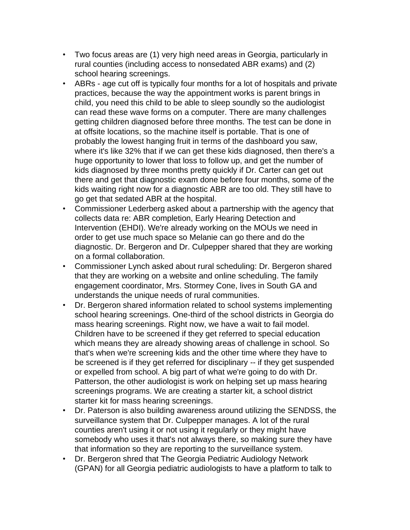- Two focus areas are (1) very high need areas in Georgia, particularly in rural counties (including access to nonsedated ABR exams) and (2) school hearing screenings.
- ABRs age cut off is typically four months for a lot of hospitals and private practices, because the way the appointment works is parent brings in child, you need this child to be able to sleep soundly so the audiologist can read these wave forms on a computer. There are many challenges getting children diagnosed before three months. The test can be done in at offsite locations, so the machine itself is portable. That is one of probably the lowest hanging fruit in terms of the dashboard you saw, where it's like 32% that if we can get these kids diagnosed, then there's a huge opportunity to lower that loss to follow up, and get the number of kids diagnosed by three months pretty quickly if Dr. Carter can get out there and get that diagnostic exam done before four months, some of the kids waiting right now for a diagnostic ABR are too old. They still have to go get that sedated ABR at the hospital.
- Commissioner Lederberg asked about a partnership with the agency that collects data re: ABR completion, Early Hearing Detection and Intervention (EHDI). We're already working on the MOUs we need in order to get use much space so Melanie can go there and do the diagnostic. Dr. Bergeron and Dr. Culpepper shared that they are working on a formal collaboration.
- Commissioner Lynch asked about rural scheduling: Dr. Bergeron shared that they are working on a website and online scheduling. The family engagement coordinator, Mrs. Stormey Cone, lives in South GA and understands the unique needs of rural communities.
- Dr. Bergeron shared information related to school systems implementing school hearing screenings. One-third of the school districts in Georgia do mass hearing screenings. Right now, we have a wait to fail model. Children have to be screened if they get referred to special education which means they are already showing areas of challenge in school. So that's when we're screening kids and the other time where they have to be screened is if they get referred for disciplinary -- if they get suspended or expelled from school. A big part of what we're going to do with Dr. Patterson, the other audiologist is work on helping set up mass hearing screenings programs. We are creating a starter kit, a school district starter kit for mass hearing screenings.
- Dr. Paterson is also building awareness around utilizing the SENDSS, the surveillance system that Dr. Culpepper manages. A lot of the rural counties aren't using it or not using it regularly or they might have somebody who uses it that's not always there, so making sure they have that information so they are reporting to the surveillance system.
- Dr. Bergeron shred that The Georgia Pediatric Audiology Network (GPAN) for all Georgia pediatric audiologists to have a platform to talk to